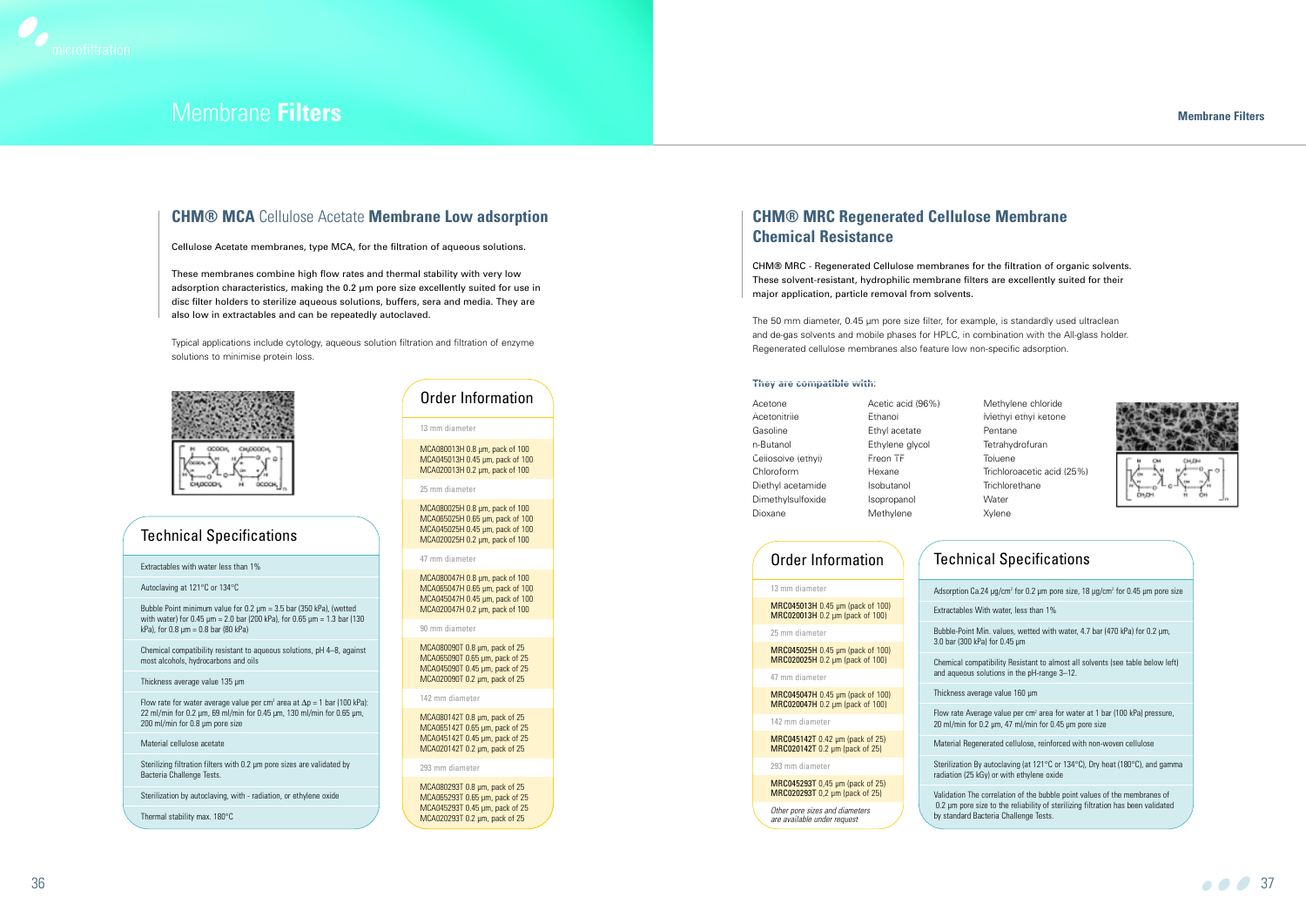| Acetone            | Acetic acid (96%) | Λ            |
|--------------------|-------------------|--------------|
| Acetonitrile       | Ethanol           | N            |
| Gasoline           | Ethyl acetate     | F            |
| n-Butanol          | Ethylene glycol   | Τ            |
| Cellosolve (ethyl) | Freon TF          | ī            |
| Chloroform         | Hexane            | Τ            |
| Diethyl acetamide  | Isobutanol        | $\mathsf{T}$ |
| Dimethylsulfoxide  | Isopropanol       | V            |
| Dioxane            | Methylene         | Χ            |
|                    |                   |              |

- Methylene chloride
- Methyl ethyl ketone
- Pentane
- Tetrahydrofuran
- Toluene
- Trichloroacetic acid (25%)
- **Trichlorethane**
- Water
- Xylene

### **CHM® MRC Regenerated Cellulose Membrane Chemical Resistance**

CHM® MRC - Regenerated Cellulose membranes for the filtration of organic solvents. These solvent-resistant, hydrophilic membrane filters are excellently suited for their major application, particle removal from solvents.

The 50 mm diameter, 0.45 µm pore size filter, for example, is standardly used ultraclean and de-gas solvents and mobile phases for HPLC, in combination with the All-glass holder. Regenerated cellulose membranes also feature low non-specific adsorption.

MCA080047H 0.8 µm, pack of 100 MCA065047H 0.65 µm, pack of 100 MCA045047H 0.45 µm, pack of 100 MCA020047H 0.2 µm, pack of 100

#### **They are compatible with:**

#### **Membrane Filters**

### **CHM® MCA** Cellulose Acetate **Membrane Low adsorption**

Cellulose Acetate membranes, type MCA, for the filtration of aqueous solutions.

These membranes combine high flow rates and thermal stability with very low adsorption characteristics, making the 0.2 µm pore size excellently suited for use in disc filter holders to sterilize aqueous solutions, buffers, sera and media. They are also low in extractables and can be repeatedly autoclaved.

Bubble Point minimum value for 0.2 µm = 3.5 bar (350 kPa), (wetted with water) for 0.45  $\mu$ m = 2.0 bar (200 kPa), for 0.65  $\mu$ m = 1.3 bar (130 kPa), for  $0.8 \mu m = 0.8$  bar (80 kPa)

Typical applications include cytology, aqueous solution filtration and filtration of enzyme solutions to minimise protein loss.



Flow rate for water average value per cm<sup>2</sup> area at  $\Delta p = 1$  bar (100 kPa): 22 ml/min for 0.2 µm, 69 ml/min for 0.45 µm, 130 ml/min for 0.65 µm, 200 ml/min for 0.8 µm pore size



## Membrane **Filters**

Sterilizing filtration filters with 0.2 µm pore sizes are validated by Bacteria Challenge Tests.

13 mm diameter

MCA080013H 0.8 µm, pack of 100 MCA045013H 0.45 µm, pack of 100 MCA020013H 0.2 µm, pack of 100

25 mm diameter

MCA080025H 0.8 µm, pack of 100 MCA065025H 0.65 µm, pack of 100 MCA045025H 0.45 µm, pack of 100 MCA020025H 0.2 µm, pack of 100

47 mm diameter

90 mm diameter

MCA080090T 0.8 µm, pack of 25 MCA065090T 0.65 µm, pack of 25 MCA045090T 0.45 µm, pack of 25 MCA020090T 0.2 µm, pack of 25

142 mm diameter

MCA080142T 0.8 µm, pack of 25 MCA065142T 0.65 µm, pack of 25 MCA045142T 0.45 µm, pack of 25 MCA020142T 0.2 µm, pack of 25

293 mm diameter

MCA080293T 0.8 µm, pack of 25 MCA065293T 0.65 µm, pack of 25 MCA045293T 0.45 µm, pack of 25 MCA020293T 0.2 µm, pack of 25

## Order Information

### Technical Specifications

Extractables with water less than 1%

Autoclaving at 121°C or 134°C

Chemical compatibility resistant to aqueous solutions, pH 4–8, against most alcohols, hydrocarbons and oils

Thickness average value 135 um

Material cellulose acetate

Sterilization by autoclaving, with - radiation, or ethylene oxide

Thermal stability max. 180°C

## Technical Specifications

| Adsorption Ca.24 $\mu q/cm^2$ for 0.2 $\mu$ m pore size, 18 $\mu q/cm^2$ for 0.45 $\mu$ m pore size                                                                                                   |
|-------------------------------------------------------------------------------------------------------------------------------------------------------------------------------------------------------|
| Extractables With water, less than 1%                                                                                                                                                                 |
| Bubble-Point Min. values, wetted with water, 4.7 bar (470 kPa) for 0.2 um,<br>3.0 bar (300 kPa) for 0.45 µm                                                                                           |
| Chemical compatibility Resistant to almost all solvents (see table below left)<br>and aqueous solutions in the pH-range 3-12.                                                                         |
| Thickness average value 160 µm                                                                                                                                                                        |
| Flow rate Average value per $cm2$ area for water at 1 bar (100 kPa) pressure,<br>20 ml/min for 0.2 $\mu$ m, 47 ml/min for 0.45 $\mu$ m pore size                                                      |
| Material Regenerated cellulose, reinforced with non-woven cellulose                                                                                                                                   |
| Sterilization By autoclaving (at 121°C or 134°C), Dry heat (180°C), and gamma<br>radiation (25 kGy) or with ethylene oxide                                                                            |
| Validation The correlation of the bubble point values of the membranes of<br>0.2 µm pore size to the reliability of sterilizing filtration has been validated<br>hy standard Ractoria Challongo Tosts |



36 and 37 and 37 and 37 and 37 and 37 and 37 and 37 and 37 and 37 and 37 and 37 and 37 and 37 and 37

#### 13 mm diameter

MRC045013H 0.45 µm (pack of 100) MRC020013H 0.2 µm (pack of 100)

#### 25 mm diameter

MRC045025H 0.45 µm (pack of 100) MRC020025H 0.2 µm (pack of 100)

47 mm diameter MRC045047H 0.45 µm (pack of 100)

MRC020047H 0.2 µm (pack of 100)

142 mm diameter

MRC045142T 0.42 µm (pack of 25) MRC020142T 0.2 µm (pack of 25)

293 mm diameter MRC045293T 0,45 µm (pack of 25) MRC020293T 0,2 µm (pack of 25)

### Order Information

Other pore sizes and diameters are available under request

Validation The co  $0.2 \mu m$  pore size by standard Bacteria Challenge Te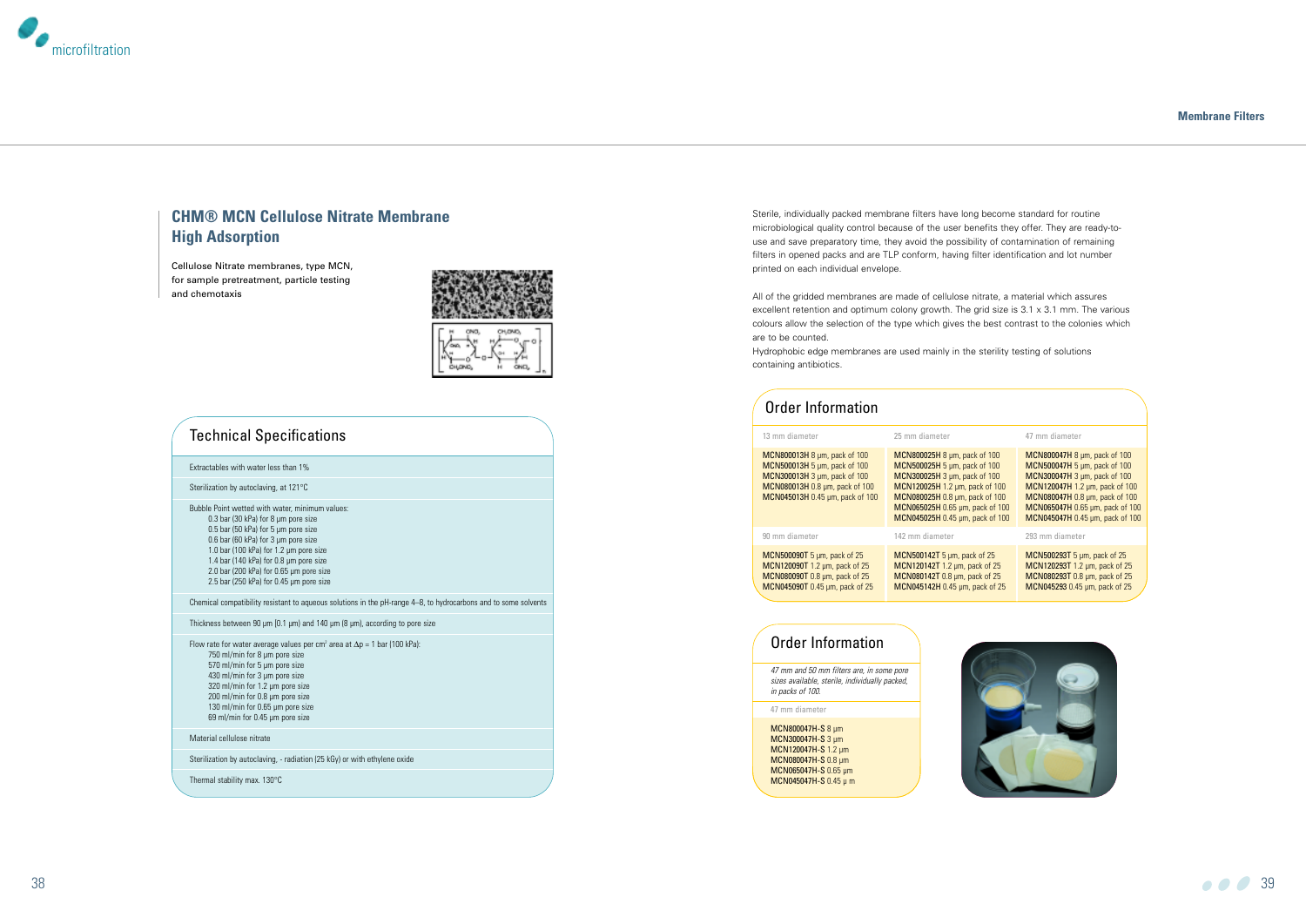Sterile, individually packed membrane filters have long become standard for routine microbiological quality control because of the user benefits they offer. They are ready-touse and save preparatory time, they avoid the possibility of contamination of remaining filters in opened packs and are TLP conform, having filter identification and lot number printed on each individual envelope.

All of the gridded membranes are made of cellulose nitrate, a material which assures excellent retention and optimum colony growth. The grid size is 3.1 x 3.1 mm. The various colours allow the selection of the type which gives the best contrast to the colonies which are to be counted.

Hydrophobic edge membranes are used mainly in the sterility testing of solutions containing antibiotics.



### **CHM® MCN Cellulose Nitrate Membrane High Adsorption**

Cellulose Nitrate membranes, type MCN, for sample pretreatment, particle testing and chemotaxis



Flow rate for water average values per cm<sup>2</sup> area at  $\Delta p = 1$  bar (100 kPa): 750 ml/min for 8 µm pore size 570 ml/min for 5 µm pore size 430 ml/min for 3 µm pore size 320 ml/min for 1.2 µm pore size 200 ml/min for 0.8 µm pore size 130 ml/min for 0.65 µm pore size 69 ml/min for 0.45 µm pore size

#### **Membrane Filters**

| 17 mm diameter |  |  |  |
|----------------|--|--|--|
|                |  |  |  |



### Technical Specifications

Extractables with water less than 1%

Sterilization by autoclaving, at 121°C

MCN800047H-S 8 µm MCN300047H-S 3 um MCN120047H-S 1.2 um MCN080047H-S 0.8 pm MCN065047H-S 0.65 µm MCN045047H-S 0.45 μ m



Bubble Point wetted with water, minimum values: 0.3 bar (30 kPa) for 8 µm pore size 0.5 bar (50 kPa) for 5 µm pore size 0.6 bar (60 kPa) for 3 µm pore size 1.0 bar (100 kPa) for 1.2 µm pore size 1.4 bar (140 kPa) for 0.8 µm pore size 2.0 bar (200 kPa) for 0.65 µm pore size 2.5 bar (250 kPa) for 0.45 µm pore size

Chemical compatibility resistant to aqueous solutions in the pH-range 4–8, to hydrocarbons and to some solvents

Thickness between 90 µm [0.1 µm) and 140 µm (8 µm), according to pore size

Material cellulose nitrate

Sterilization by autoclaving, - radiation (25 kGy) or with ethylene oxide

Thermal stability max. 130°C

### Order Information

47 mm diameter

| 13 mm diameter                                                                                                                                                    | 25 mm diameter                                                                                                                                                                                                                         | 47 mm diameter                                                                                                                                                                                                                         |  |  |
|-------------------------------------------------------------------------------------------------------------------------------------------------------------------|----------------------------------------------------------------------------------------------------------------------------------------------------------------------------------------------------------------------------------------|----------------------------------------------------------------------------------------------------------------------------------------------------------------------------------------------------------------------------------------|--|--|
| MCN800013H 8 µm, pack of 100<br>MCN500013H 5 µm, pack of 100<br>MCN300013H 3 µm, pack of 100<br>MCN080013H 0.8 µm, pack of 100<br>MCN045013H 0.45 µm, pack of 100 | MCN800025H 8 µm, pack of 100<br>MCN500025H 5 µm, pack of 100<br>MCN300025H 3 um, pack of 100<br>MCN120025H 1.2 µm, pack of 100<br>MCN080025H 0.8 µm, pack of 100<br>MCN065025H 0.65 µm, pack of 100<br>MCN045025H 0.45 µm, pack of 100 | MCN800047H 8 µm, pack of 100<br>MCN500047H 5 µm, pack of 100<br>MCN300047H 3 µm, pack of 100<br>MCN120047H 1.2 µm, pack of 100<br>MCN080047H 0.8 µm, pack of 100<br>MCN065047H 0.65 µm, pack of 100<br>MCN045047H 0.45 µm, pack of 100 |  |  |
| 90 mm diameter                                                                                                                                                    | 142 mm diameter                                                                                                                                                                                                                        | 293 mm diameter                                                                                                                                                                                                                        |  |  |
| MCN500090T 5 um, pack of 25<br>MCN120090T 1.2 um, pack of 25<br>MCN080090T 0.8 um, pack of 25<br>MCN045090T 0.45 µm, pack of 25                                   | MCN500142T 5 um, pack of 25<br>MCN120142T 1.2 um, pack of 25<br>MCN080142T 0.8 µm, pack of 25<br>MCN045142H 0.45 um, pack of 25                                                                                                        | MCN500293T 5 um, pack of 25<br>MCN120293T 1.2 um, pack of 25<br>MCN080293T 0.8 µm, pack of 25<br>MCN045293 0.45 um, pack of 25                                                                                                         |  |  |

### Order Information

47 mm and 50 mm filters are, in some pore sizes available, sterile, individually packed, in packs of 100.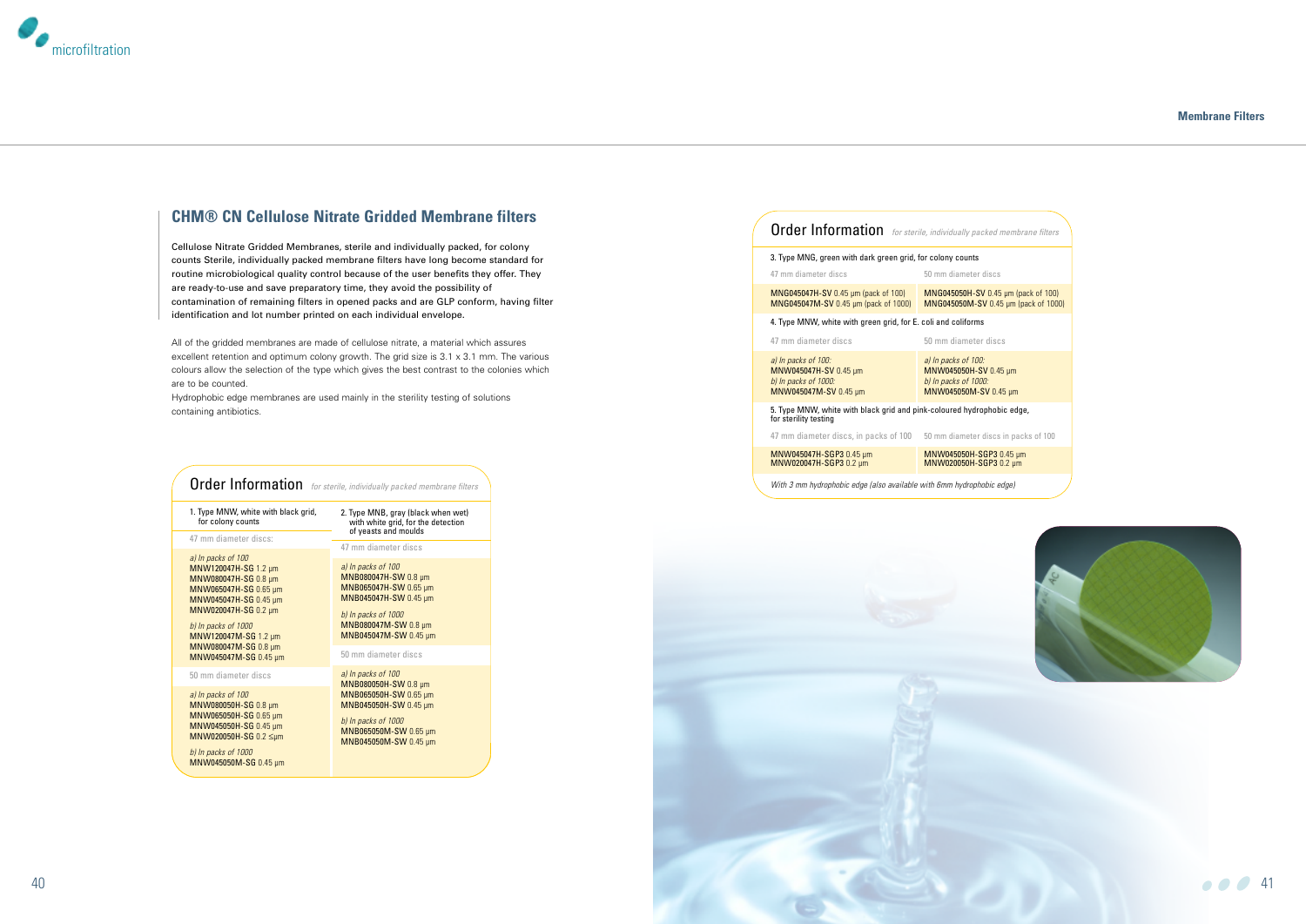

### **CHM® CN Cellulose Nitrate Gridded Membrane filters**

Cellulose Nitrate Gridded Membranes, sterile and individually packed, for colony counts Sterile, individually packed membrane filters have long become standard for routine microbiological quality control because of the user benefits they offer. They are ready-to-use and save preparatory time, they avoid the possibility of contamination of remaining filters in opened packs and are GLP conform, having filter identification and lot number printed on each individual envelope.

All of the gridded membranes are made of cellulose nitrate, a material which assures excellent retention and optimum colony growth. The grid size is 3.1 x 3.1 mm. The various colours allow the selection of the type which gives the best contrast to the colonies which are to be counted.

Hydrophobic edge membranes are used mainly in the sterility testing of solutions containing antibiotics.

#### **Membrane Filters**







| <b>Order Information</b>                                                                                                                                                                                                                     | for sterile, individually packed membrane filters                                                                                                                                            |
|----------------------------------------------------------------------------------------------------------------------------------------------------------------------------------------------------------------------------------------------|----------------------------------------------------------------------------------------------------------------------------------------------------------------------------------------------|
| 1. Type MNW, white with black grid,<br>for colony counts                                                                                                                                                                                     | 2. Type MNB, gray (black when wet)<br>with white grid, for the detection<br>of yeasts and moulds                                                                                             |
| 47 mm diameter discs:                                                                                                                                                                                                                        | 47 mm diameter discs                                                                                                                                                                         |
| a) In packs of 100<br>MNW120047H-SG 1.2 µm<br>MNW080047H-SG 0.8 µm<br>MNW065047H-SG 0.65 µm<br>MNW045047H-SG 0.45 µm<br>MNW020047H-SG 0.2 µm<br>b) In packs of 1000<br>MNW120047M-SG 1.2 µm<br>MNW080047M-SG 0.8 µm<br>MNW045047M-SG 0.45 um | a) In packs of 100<br>MNB080047H-SW 0.8 µm<br>MNB065047H-SW 0.65 µm<br>MNB045047H-SW 0.45 µm<br>b) In packs of 1000<br>MNB080047M-SW 0.8 µm<br>MNB045047M-SW 0.45 µm<br>50 mm diameter discs |
| 50 mm diameter discs                                                                                                                                                                                                                         | a) In packs of 100                                                                                                                                                                           |
| a) In packs of 100<br>MNW080050H-SG 0.8 µm<br>MNW065050H-SG 0.65 µm<br>MNW045050H-SG 0.45 µm<br>MNW020050H-SG 0.2 ≤µm<br>b) In packs of 1000<br>MNW045050M-SG 0.45 µm                                                                        | <b>MNB080050H-SW 0.8 µm</b><br>MNB065050H-SW 0.65 µm<br>MNB045050H-SW 0.45 µm<br>b) In packs of 1000<br>MNB065050M-SW 0.65 µm<br>MNB045050M-SW 0.45 µm                                       |

| Order Information for sterile, individually packed membrane filters                             |  |  |  |  |  |  |
|-------------------------------------------------------------------------------------------------|--|--|--|--|--|--|
| 3. Type MNG, green with dark green grid, for colony counts                                      |  |  |  |  |  |  |
| 50 mm diameter discs                                                                            |  |  |  |  |  |  |
| <b>MNG045050H-SV 0.45 µm (pack of 100)</b><br>MNG045050M-SV 0.45 µm (pack of 1000)              |  |  |  |  |  |  |
| 4. Type MNW, white with green grid, for E. coli and coliforms                                   |  |  |  |  |  |  |
| 50 mm diameter discs                                                                            |  |  |  |  |  |  |
| a) In packs of 100:<br>MNW045050H-SV 0.45 um<br>b) In packs of 1000:<br>MNW045050M-SV 0.45 um   |  |  |  |  |  |  |
| 5. Type MNW, white with black grid and pink-coloured hydrophobic edge,<br>for sterility testing |  |  |  |  |  |  |
| 47 mm diameter discs, in packs of 100<br>50 mm diameter discs in packs of 100                   |  |  |  |  |  |  |
| MNW045050H-SGP3 0.45 µm<br>MNW020050H-SGP3 0.2 µm                                               |  |  |  |  |  |  |
|                                                                                                 |  |  |  |  |  |  |

With 3 mm hydrophobic edge (also available with 6mm hydrophobic edge)

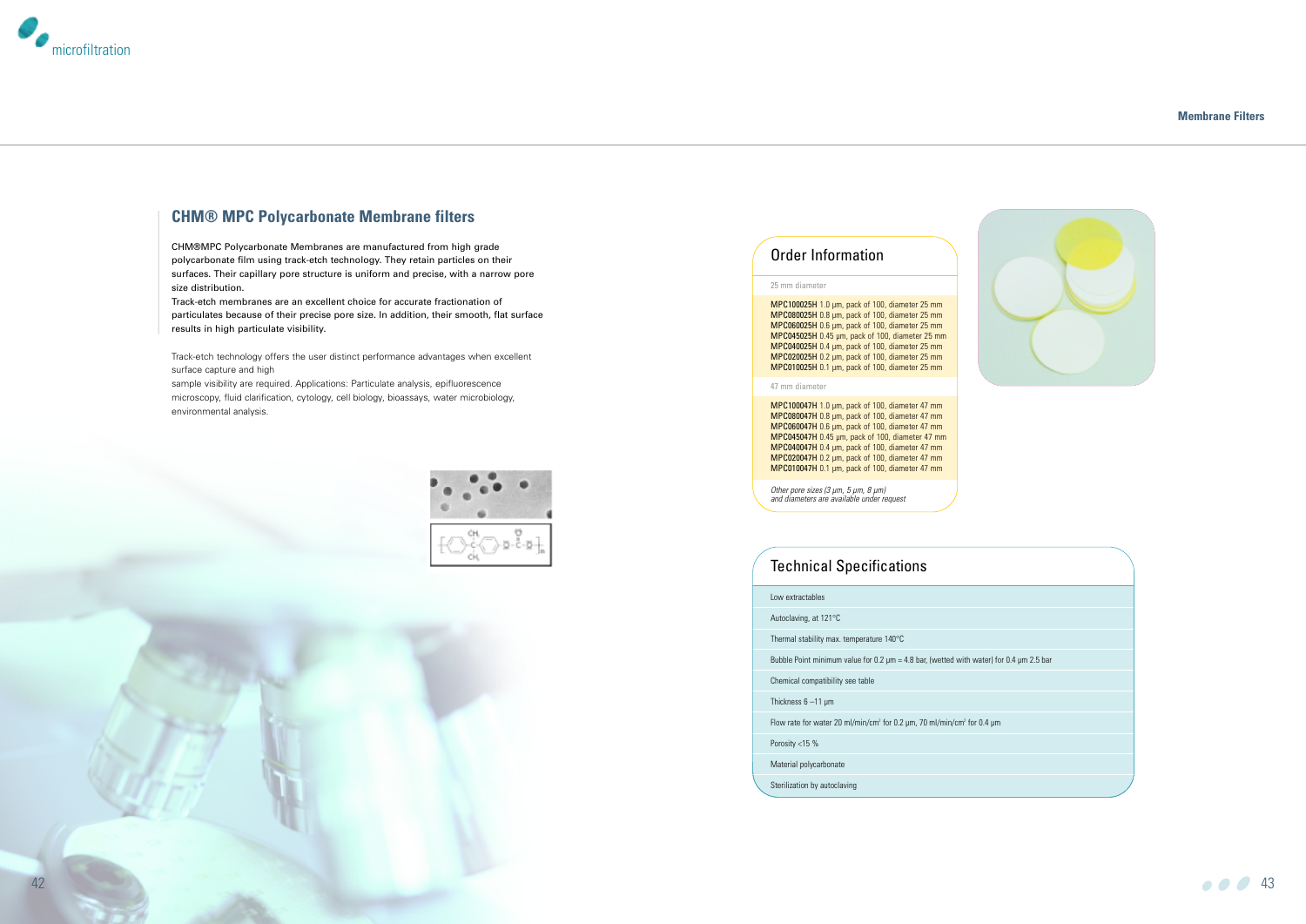

### **CHM® MPC Polycarbonate Membrane filters**

CHM®MPC Polycarbonate Membranes are manufactured from high grade polycarbonate film using track-etch technology. They retain particles on their surfaces. Their capillary pore structure is uniform and precise, with a narrow pore size distribution.

Track-etch membranes are an excellent choice for accurate fractionation of particulates because of their precise pore size. In addition, their smooth, flat surface results in high particulate visibility.

Track-etch technology offers the user distinct performance advantages when excellent surface capture and high

| Low extractables                                                                                  |
|---------------------------------------------------------------------------------------------------|
| Autoclaving, at 121°C                                                                             |
| Thermal stability max. temperature 140°C                                                          |
| Bubble Point minimum value for 0.2 $\mu$ m = 4.8 bar, (wetted with water) for 0.4 $\mu$ m 2.5 bar |
| Chemical compatibility see table                                                                  |
| Thickness $6 - 11 \mu m$                                                                          |
| Flow rate for water 20 ml/min/cm <sup>2</sup> for 0.2 µm, 70 ml/min/cm <sup>2</sup> for 0.4 µm    |
| Porosity $<$ 15 %                                                                                 |
| Material polycarbonate                                                                            |

sample visibility are required. Applications: Particulate analysis, epifluorescence microscopy, fluid clarification, cytology, cell biology, bioassays, water microbiology, environmental analysis.



#### **Membrane Filters**



### Technical Specifications

MPC100047H 1.0 µm, pack of 100, diameter 47 mm MPC080047H 0.8 um, pack of 100, diameter 47 mm MPC060047H 0.6 µm, pack of 100, diameter 47 mm MPC045047H 0.45 µm, pack of 100, diameter 47 mm MPC040047H 0.4 µm, pack of 100, diameter 47 mm MPC020047H 0.2 µm, pack of 100, diameter 47 mm MPC010047H 0.1 µm, pack of 100, diameter 47 mm

- 
- Sterilization by autoclaving



### Order Information

Other pore sizes (3 µm, 5 µm, 8 µm) and diameters are available under request

#### 25 mm diameter

MPC100025H 1.0 µm, pack of 100, diameter 25 mm MPC080025H 0.8 µm, pack of 100, diameter 25 mm MPC060025H 0.6 µm, pack of 100, diameter 25 mm MPC045025H 0.45 µm, pack of 100, diameter 25 mm MPC040025H 0.4 µm, pack of 100, diameter 25 mm MPC020025H 0.2 µm, pack of 100, diameter 25 mm MPC010025H 0.1 µm, pack of 100, diameter 25 mm

#### 47 mm diameter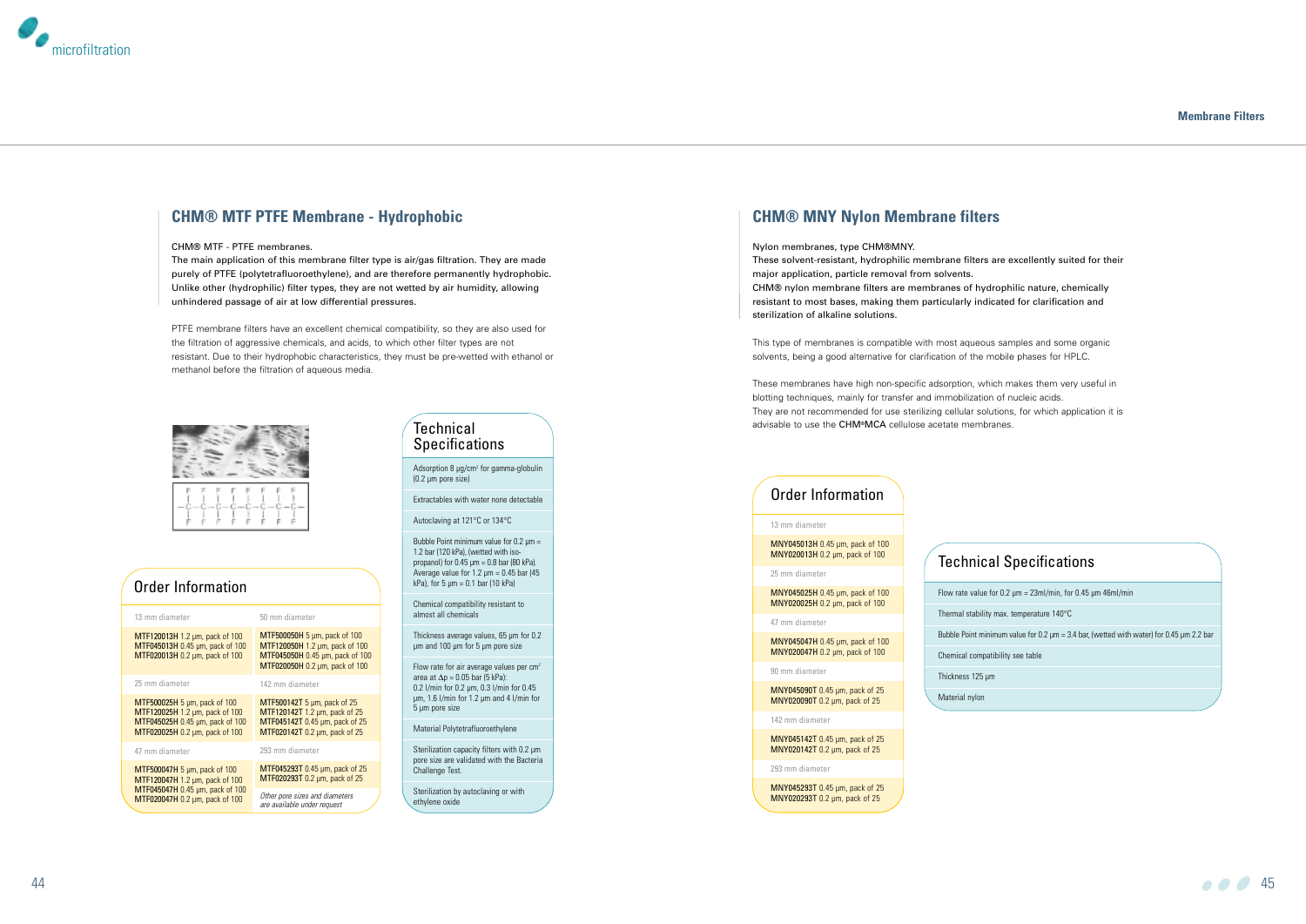### **CHM® MNY Nylon Membrane filters**

#### Nylon membranes, type CHM®MNY.

These solvent-resistant, hydrophilic membrane filters are excellently suited for their major application, particle removal from solvents. CHM® nylon membrane filters are membranes of hydrophilic nature, chemically resistant to most bases, making them particularly indicated for clarification and sterilization of alkaline solutions.

This type of membranes is compatible with most aqueous samples and some organic solvents, being a good alternative for clarification of the mobile phases for HPLC.

These membranes have high non-specific adsorption, which makes them very useful in blotting techniques, mainly for transfer and immobilization of nucleic acids. They are not recommended for use sterilizing cellular solutions, for which application it is advisable to use the CHM®MCA cellulose acetate membranes.



### **CHM® MTF PTFE Membrane - Hydrophobic**

#### CHM® MTF - PTFE membranes.

The main application of this membrane filter type is air/gas filtration. They are made purely of PTFE (polytetrafluoroethylene), and are therefore permanently hydrophobic. Unlike other (hydrophilic) filter types, they are not wetted by air humidity, allowing unhindered passage of air at low differential pressures.

PTFE membrane filters have an excellent chemical compatibility, so they are also used for the filtration of aggressive chemicals, and acids, to which other filter types are not resistant. Due to their hydrophobic characteristics, they must be pre-wetted with ethanol or methanol before the filtration of aqueous media.



#### **Membrane Filters**



Adsorption 8 µq/cm<sup>2</sup> for gamma-globulin (0.2 µm pore size)

Flow rate for air average values per  $cm<sup>2</sup>$ area at  $\Delta p = 0.05$  bar (5 kPa): 0.2 l/min for 0.2 µm, 0.3 l/min for 0.45 µm, 1.6 l/min for 1.2 µm and 4 l/min for 5 µm pore size

Sterilization capacity filters with 0.2  $\mu$ m pore size are validated with the Bacteria Challenge Test.

| 13 mm diameter                                                                                                                      | 50 mm diameter                                                                                                                      |  |  |
|-------------------------------------------------------------------------------------------------------------------------------------|-------------------------------------------------------------------------------------------------------------------------------------|--|--|
| MTF120013H 1.2 µm, pack of 100<br>MTF045013H 0.45 µm, pack of 100<br>MTF020013H 0.2 µm, pack of 100                                 | MTF500050H 5 um, pack of 100<br>MTF120050H 1.2 µm, pack of 100<br>MTF045050H 0.45 µm, pack of 100<br>MTF020050H 0.2 µm, pack of 100 |  |  |
| 25 mm diameter                                                                                                                      | 142 mm diameter                                                                                                                     |  |  |
| MTF500025H 5 um, pack of 100<br>MTF120025H 1.2 µm, pack of 100<br>MTF045025H 0.45 µm, pack of 100<br>MTF020025H 0.2 µm, pack of 100 | MTF500142T 5 µm, pack of 25<br>MTF120142T 1.2 µm, pack of 25<br>MTF045142T 0.45 µm, pack of 25<br>MTF020142T 0.2 µm, pack of 25     |  |  |
| 47 mm diameter                                                                                                                      | 293 mm diameter                                                                                                                     |  |  |
| MTF500047H 5 um, pack of 100<br>MTF120047H 1.2 µm, pack of 100                                                                      | MTF045293T 0.45 µm, pack of 25<br>MTF020293T 0.2 µm, pack of 25                                                                     |  |  |
| MTF045047H 0.45 µm, pack of 100<br>MTF020047H 0.2 µm, pack of 100                                                                   | Other pore sizes and diameters<br>are available under request                                                                       |  |  |

### **Technical Specifications**

# Order Information

#### 13 mm diameter

MNY045013H 0.45 µm, pack of 100 MNY020013H 0.2 µm, pack of 100

#### 25 mm diameter

MNY045025H 0.45 µm, pack of 100 MNY020025H 0.2 µm, pack of 100

#### 47 mm diameter

MNY045047H 0.45 µm, pack of 100 MNY020047H 0.2 µm, pack of 100

#### 90 mm diameter

MNY045090T 0.45 µm, pack of 25 MNY020090T 0.2 µm, pack of 25

142 mm diameter

MNY045142T 0.45 µm, pack of 25 MNY020142T 0.2 µm, pack of 25

#### 293 mm diameter

MNY045293T 0.45 µm, pack of 25 MNY020293T 0.2 µm, pack of 25

### Order Information

### Technical Specifications

Flow rate value for  $0.2 \mu m = 23$ ml/min, for  $0.45 \mu m$  46ml/min

Thermal stability max. temperature 140°C

Bubble Point minimum value for 0.2 µm = 3.4 bar, (wetted with water) for 0.45 µm 2.2 bar

Chemical compatibility see table

Thickness 125 µm

Material nylon

Extractables with water none detectable

Autoclaving at 121°C or 134°C

Bubble Point minimum value for  $0.2 \mu m =$ 1.2 bar (120 kPa), (wetted with isopropanol) for  $0.45 \mu m = 0.8$  bar (80 kPa). Average value for 1.2  $\mu$ m = 0.45 bar (45 kPa), for 5  $\mu$ m = 0.1 bar (10 kPa)

Chemical compatibility resistant to almost all chemicals

Thickness average values, 65 µm for 0.2 µm and 100 µm for 5 µm pore size

Material Polytetrafluoroethylene

Sterilization by autoclaving or with ethylene oxide